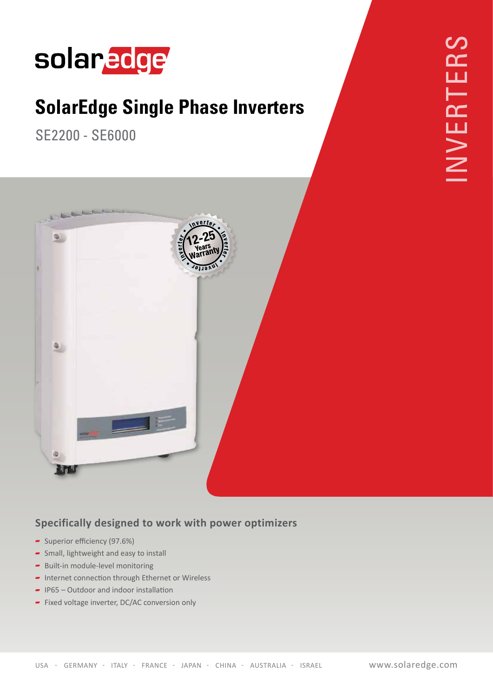

## **SolarEdge Single Phase Inverters**

SE 2200 - SE 6000



## **Specifically designed to work with power optimizers**

- Superior efficiency  $(97.6%)$
- $\overline{\phantom{a}}$  Small, lightweight and easy to install
- $\blacktriangleright$  Built-in module-level monitoring
- $\blacksquare$  Internet connection through Ethernet or Wireless
- $\blacksquare$  IP65 Outdoor and indoor installation
- $\blacksquare$  Fixed voltage inverter, DC/AC conversion only